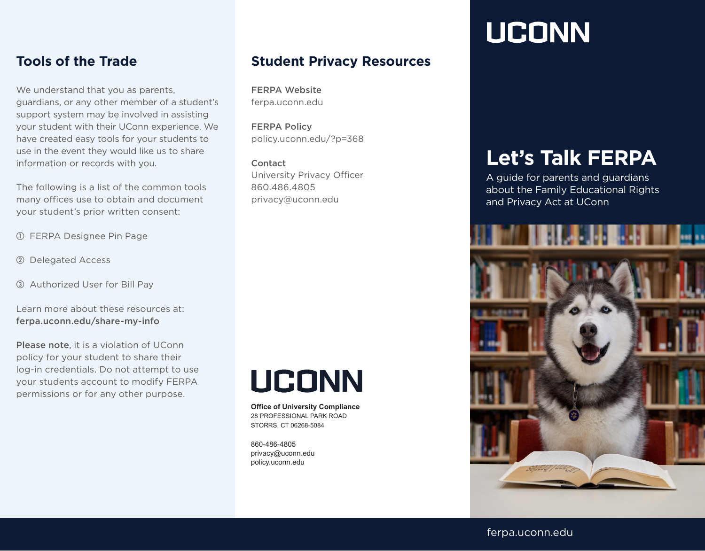### **Tools of the Trade**

We understand that you as parents, guardians, or any other member of a student's support system may be involved in assisting your student with their UConn experience. We have created easy tools for your students to use in the event they would like us to share information or records with you.

The following is a list of the common tools many offices use to obtain and document your student's prior written consent:

(1) FERPA Designee Pin Page

- 2 Delegated Access
- 3 Authorized User for Bill Pay

Learn more about these resources at: ferpa.uconn.edu/share-my-info

Please note, it is a violation of UConn policy for your student to share their log-in credentials. Do not attempt to use your students account to modify FERPA permissions or for any other purpose.

### **Student Privacy Resources**

FERPA Website ferpa.uconn.edu

FERPA Policy policy.uconn.edu/?p=368

Contact University Privacy Officer 860.486.4805 privacy@uconn.edu

## **UCONN**

**Office of University Compliance** 28 PROFESSIONAL PARK ROAD STORRS, CT 06268-5084

860-486-4805 privacy@uconn.edu policy.uconn.edu

# **UCONN**

## **Let's Talk FERPA**

A guide for parents and guardians about the Family Educational Rights and Privacy Act at UConn



ferpa.uconn.edu